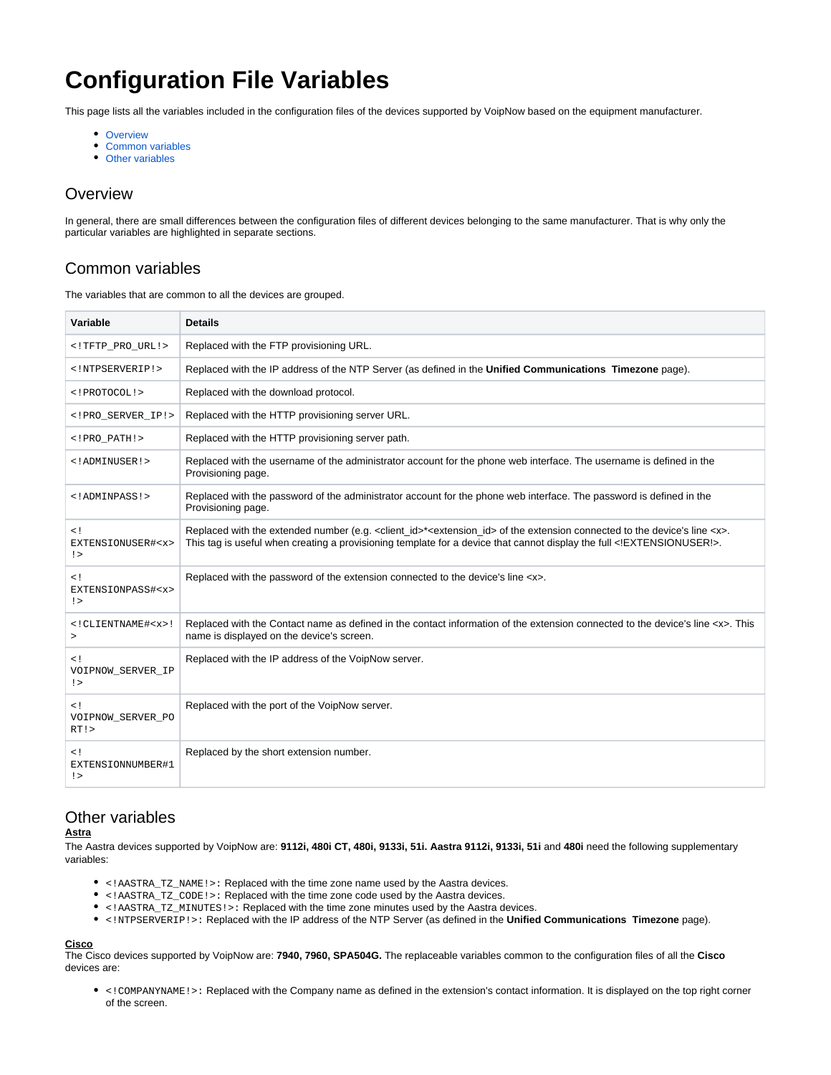# **Configuration File Variables**

This page lists all the variables included in the configuration files of the devices supported by VoipNow based on the equipment manufacturer.

- [Overview](#page-0-0)
- [Common variables](#page-0-1)
- [Other variables](#page-0-2)

# <span id="page-0-0"></span>**Overview**

In general, there are small differences between the configuration files of different devices belonging to the same manufacturer. That is why only the particular variables are highlighted in separate sections.

# <span id="page-0-1"></span>Common variables

The variables that are common to all the devices are grouped.

| Variable                                                 | <b>Details</b>                                                                                                                                                                                                                                                                       |
|----------------------------------------------------------|--------------------------------------------------------------------------------------------------------------------------------------------------------------------------------------------------------------------------------------------------------------------------------------|
| TFTP_PRO_URL!                                            | Replaced with the FTP provisioning URL.                                                                                                                                                                                                                                              |
| NTPSERVERIP!                                             | Replaced with the IP address of the NTP Server (as defined in the Unified Communications Timezone page).                                                                                                                                                                             |
| PROTOCOL!                                                | Replaced with the download protocol.                                                                                                                                                                                                                                                 |
| PRO SERVER IP!                                           | Replaced with the HTTP provisioning server URL.                                                                                                                                                                                                                                      |
| PRO PATH!                                                | Replaced with the HTTP provisioning server path.                                                                                                                                                                                                                                     |
| ADMINUSER!                                               | Replaced with the username of the administrator account for the phone web interface. The username is defined in the<br>Provisioning page.                                                                                                                                            |
| ADMINPASS!                                               | Replaced with the password of the administrator account for the phone web interface. The password is defined in the<br>Provisioning page.                                                                                                                                            |
| < !<br>EXTENSIONUSER# <x><br/><math>\leq</math></x>      | Replaced with the extended number (e.g. <client_id>*<extension_id> of the extension connected to the device's line <x>.<br/>This tag is useful when creating a provisioning template for a device that cannot display the full <!--EXTENSIONUSER!-->.</x></extension_id></client_id> |
| $\leq$ !<br>EXTENSIONPASS# <x><br/><math>\geq</math></x> | Replaced with the password of the extension connected to the device's line <x>.</x>                                                                                                                                                                                                  |
| $<$ ! CLIENTNAME# $<$ x>!<br>$\geq$                      | Replaced with the Contact name as defined in the contact information of the extension connected to the device's line <x>. This<br/>name is displayed on the device's screen.</x>                                                                                                     |
| $\leq$ !<br>VOIPNOW_SERVER_IP<br>$\geq$                  | Replaced with the IP address of the VoipNow server.                                                                                                                                                                                                                                  |
| $\lt$ !<br>VOIPNOW SERVER PO<br>RT!                      | Replaced with the port of the VoipNow server.                                                                                                                                                                                                                                        |
| $\leq$ !<br>EXTENSIONNUMBER#1<br>$\geq$                  | Replaced by the short extension number.                                                                                                                                                                                                                                              |

# <span id="page-0-2"></span>Other variables

## **Astra**

The Aastra devices supported by VoipNow are: **9112i, 480i CT, 480i, 9133i, 51i. Aastra 9112i, 9133i, 51i** and **480i** need the following supplementary variables:

- <!AASTRA\_TZ\_NAME!>: Replaced with the time zone name used by the Aastra devices.
- <!AASTRA\_TZ\_CODE!>: Replaced with the time zone code used by the Aastra devices.
- <!AASTRA\_TZ\_MINUTES!>: Replaced with the time zone minutes used by the Aastra devices.
- <!NTPSERVERIP!>: Replaced with the IP address of the NTP Server (as defined in the **Unified Communications Timezone** page).

# **Cisco**

The Cisco devices supported by VoipNow are: **7940, 7960, SPA504G.** The replaceable variables common to the configuration files of all the **Cisco** devices are:

<!COMPANYNAME!>: Replaced with the Company name as defined in the extension's contact information. It is displayed on the top right corner of the screen.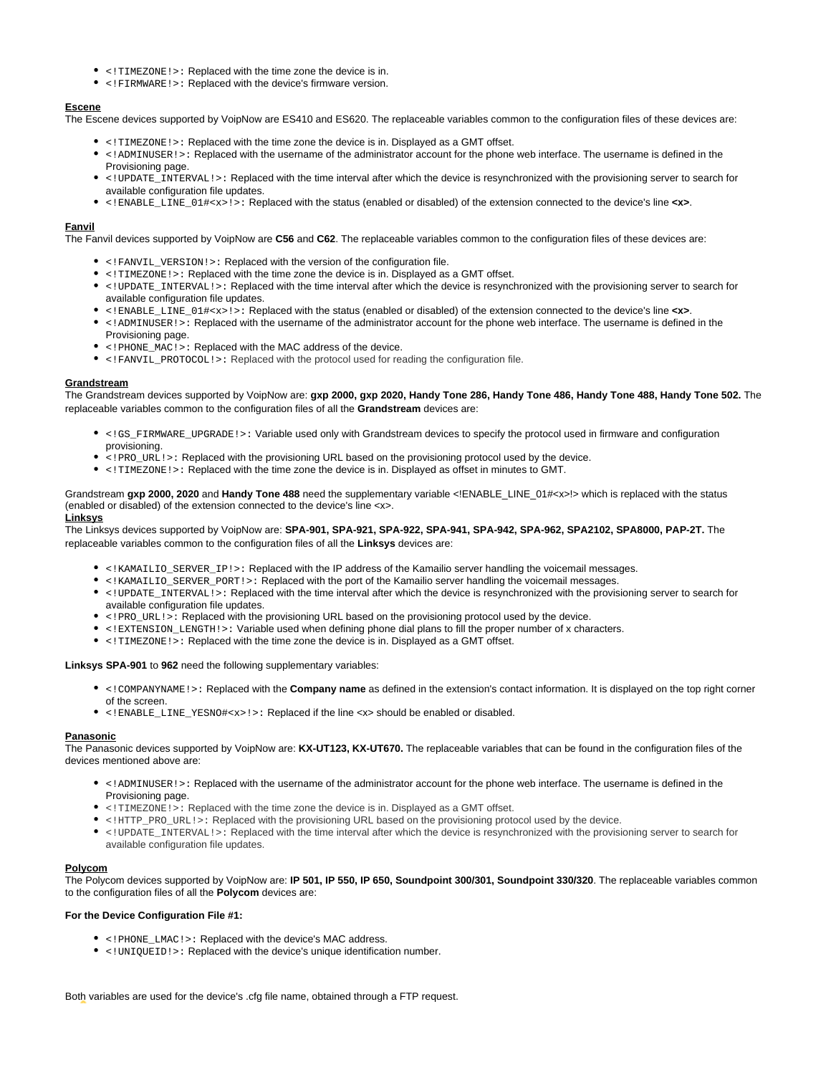- <!TIMEZONE!>: Replaced with the time zone the device is in.
- <!FIRMWARE!>: Replaced with the device's firmware version.

## **Escene**

The Escene devices supported by VoipNow are ES410 and ES620. The replaceable variables common to the configuration files of these devices are:

- <!TIMEZONE!>: Replaced with the time zone the device is in. Displayed as a GMT offset.
- <!ADMINUSER!>: Replaced with the username of the administrator account for the phone web interface. The username is defined in the Provisioning page.
- <!UPDATE\_INTERVAL!>: Replaced with the time interval after which the device is resynchronized with the provisioning server to search for available configuration file updates.
- <!ENABLE\_LINE\_01#<x>!>: Replaced with the status (enabled or disabled) of the extension connected to the device's line **<x>**.

#### **Fanvil**

The Fanvil devices supported by VoipNow are **C56** and **C62**. The replaceable variables common to the configuration files of these devices are:

- <!FANVIL\_VERSION!>: Replaced with the version of the configuration file.
- <!TIMEZONE!>: Replaced with the time zone the device is in. Displayed as a GMT offset.
- <!UPDATE\_INTERVAL!>: Replaced with the time interval after which the device is resynchronized with the provisioning server to search for available configuration file updates.
- <!ENABLE\_LINE\_01#<x>!>: Replaced with the status (enabled or disabled) of the extension connected to the device's line **<x>**.
- <!ADMINUSER!>: Replaced with the username of the administrator account for the phone web interface. The username is defined in the Provisioning page.
- <!PHONE\_MAC!>: Replaced with the MAC address of the device.
- <!FANVIL\_PROTOCOL!>: Replaced with the protocol used for reading the configuration file.

#### **Grandstream**

The Grandstream devices supported by VoipNow are: **gxp 2000, gxp 2020, Handy Tone 286, Handy Tone 486, Handy Tone 488, Handy Tone 502.** The replaceable variables common to the configuration files of all the **Grandstream** devices are:

- <!GS\_FIRMWARE\_UPGRADE!>: Variable used only with Grandstream devices to specify the protocol used in firmware and configuration provisioning.
- <!PRO\_URL!>: Replaced with the provisioning URL based on the provisioning protocol used by the device.
- <!TIMEZONE!>: Replaced with the time zone the device is in. Displayed as offset in minutes to GMT.

Grandstream **gxp 2000, 2020** and **Handy Tone 488** need the supplementary variable <!ENABLE\_LINE\_01#<x>!> which is replaced with the status (enabled or disabled) of the extension connected to the device's line <x>. **Linksys**

## The Linksys devices supported by VoipNow are: **SPA-901, SPA-921, SPA-922, SPA-941, SPA-942, SPA-962, SPA2102, SPA8000, PAP-2T.** The replaceable variables common to the configuration files of all the **Linksys** devices are:

- <!KAMAILIO\_SERVER\_IP!>: Replaced with the IP address of the Kamailio server handling the voicemail messages.
- <!KAMAILIO\_SERVER\_PORT!>: Replaced with the port of the Kamailio server handling the voicemail messages.
- <!UPDATE\_INTERVAL!>: Replaced with the time interval after which the device is resynchronized with the provisioning server to search for available configuration file updates.
- <!PRO URL!>: Replaced with the provisioning URL based on the provisioning protocol used by the device.
- <!EXTENSION\_LENGTH!>: Variable used when defining phone dial plans to fill the proper number of x characters.
- <!TIMEZONE!>: Replaced with the time zone the device is in. Displayed as a GMT offset.

## **Linksys SPA-901** to **962** need the following supplementary variables:

- <!COMPANYNAME!>: Replaced with the **Company name** as defined in the extension's contact information. It is displayed on the top right corner of the screen.
- <!ENABLE\_LINE\_YESNO#<x>!>: Replaced if the line <x> should be enabled or disabled.

## **Panasonic**

The Panasonic devices supported by VoipNow are: **KX-UT123, KX-UT670.** The replaceable variables that can be found in the configuration files of the devices mentioned above are:

- <!ADMINUSER!>: Replaced with the username of the administrator account for the phone web interface. The username is defined in the Provisioning page.
- $\bullet$  <! TIMEZONE! >: Replaced with the time zone the device is in. Displayed as a GMT offset.
- <!HTTP\_PRO\_URL!>: Replaced with the provisioning URL based on the provisioning protocol used by the device.
- <!UPDATE\_INTERVAL!>: Replaced with the time interval after which the device is resynchronized with the provisioning server to search for available configuration file updates.

## **Polycom**

The Polycom devices supported by VoipNow are: **IP 501, IP 550, IP 650, Soundpoint 300/301, Soundpoint 330/320**. The replaceable variables common to the configuration files of all the **Polycom** devices are:

## **For the Device Configuration File #1:**

- <!PHONE\_LMAC!>: Replaced with the device's MAC address.
- <!UNIQUEID!>: Replaced with the device's unique identification number.

Both variables are used for the device's .cfg file name, obtained through a FTP request.